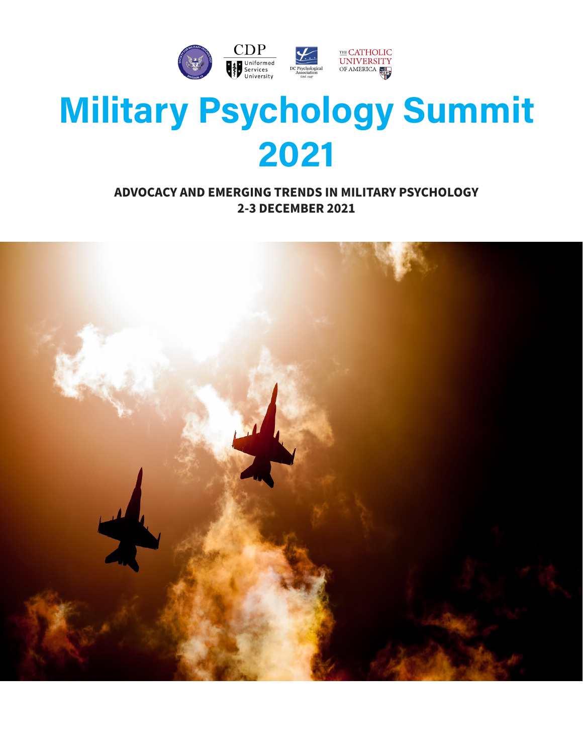

# **Military Psychology Summit 2021**

### **ADVOCACY AND EMERGING TRENDS IN MILITARY PSYCHOLOGY 2-3 DECEMBER 2021**

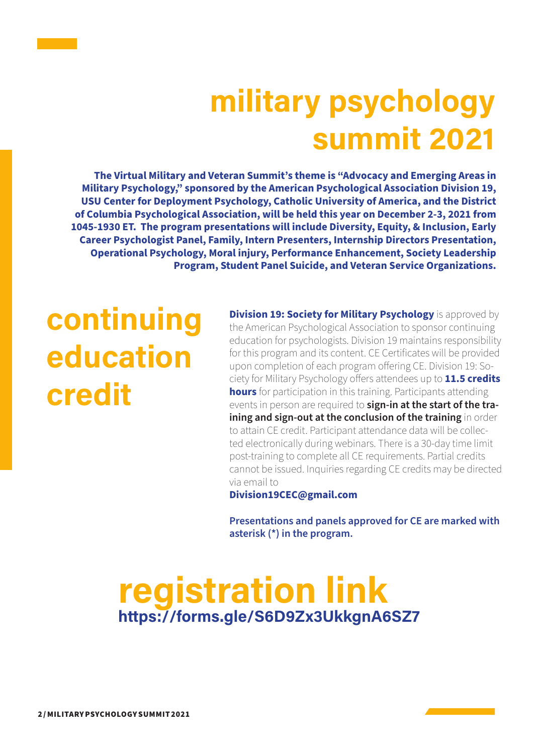# **military psychology summit 2021**

**The Virtual Military and Veteran Summit's theme is "Advocacy and Emerging Areas in Military Psychology," sponsored by the American Psychological Association Division 19, USU Center for Deployment Psychology, Catholic University of America, and the District of Columbia Psychological Association, will be held this year on December 2-3, 2021 from 1045-1930 ET. The program presentations will include Diversity, Equity, & Inclusion, Early Career Psychologist Panel, Family, Intern Presenters, Internship Directors Presentation, Operational Psychology, Moral injury, Performance Enhancement, Society Leadership Program, Student Panel Suicide, and Veteran Service Organizations.**

# **continuing education credit**

**Division 19: Society for Military Psychology** is approved by the American Psychological Association to sponsor continuing education for psychologists. Division 19 maintains responsibility for this program and its content. CE Certificates will be provided upon completion of each program offering CE. Division 19: Society for Military Psychology offers attendees up to **11.5 credits hours** for participation in this training. Participants attending events in person are required to **sign-in at the start of the training and sign-out at the conclusion of the training** in order to attain CE credit. Participant attendance data will be collected electronically during webinars. There is a 30-day time limit post-training to complete all CE requirements. Partial credits cannot be issued. Inquiries regarding CE credits may be directed via email to

**Division19CEC@gmail.com**

**Presentations and panels approved for CE are marked with asterisk (\*) in the program.**

### **registration link https://forms.gle/S6D9Zx3UkkgnA6SZ7**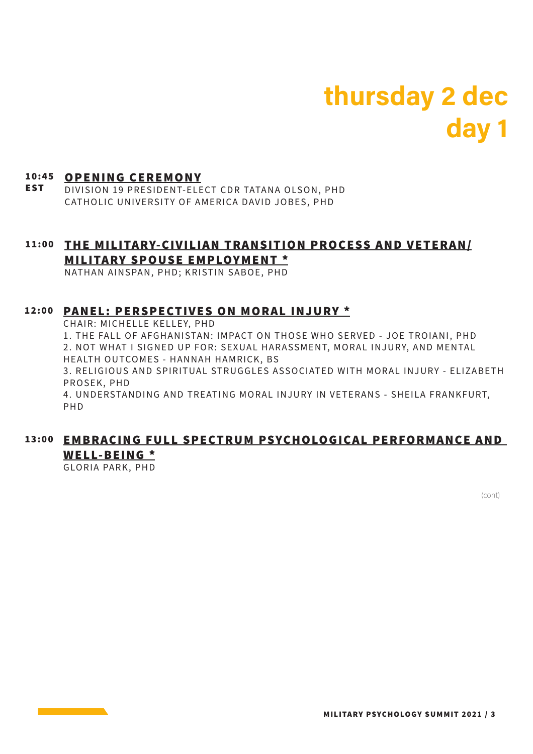## **thursday 2 dec day 1**

#### 10:45 OPENING CEREMONY

EST DIVISION 19 PRESIDENT-ELECT CDR TATANA OLSON, PHD CATHOLIC UNIVERSITY OF AMERICA DAVID JOBES, PHD

#### 11:00 <u>THE MILITARY-CIVILIAN TRANSITION PROCESS AND VETERAN/</u> MILITARY SPOUSE EMPLOYMENT \*

NATHAN AINSPAN, PHD; KRISTIN SABOE, PHD

#### 12:00 PANEL: PERSPECTIVES ON MORAL INJURY \*

CHAIR: MICHELLE KELLEY, PHD

1. THE FALL OF AFGHANISTAN: IMPACT ON THOSE WHO SERVED - JOE TROIANI, PHD 2. NOT WHAT I SIGNED UP FOR: SEXUAL HARASSMENT, MORAL INJURY, AND MENTAL HEALTH OUTCOMES - HANNAH HAMRICK, BS

3. RELIGIOUS AND SPIRITUAL STRUGGLES ASSOCIATED WITH MORAL INJURY - ELIZABETH PROSEK, PHD

4. UNDERSTANDING AND TREATING MORAL INJURY IN VETERANS - SHEILA FRANKFURT, PHD

#### 13:00 <u>EMBRACING FULL SPECTRUM PSYCHOLOGICAL PERFORMANCE AND</u> W ELL-BEING \*

GLORIA PARK, PHD

(cont)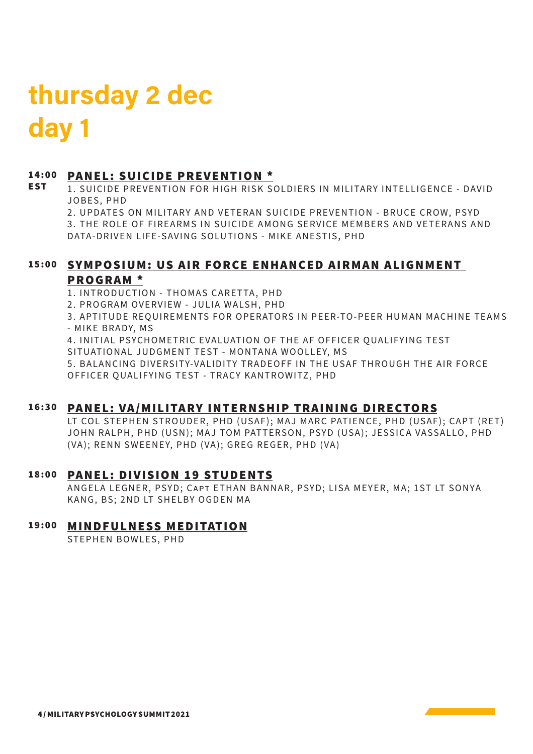## **thursday 2 dec day 1**

EST

### 14:00 PANEL: SUICIDE PREVENTION \*

1. SUICIDE PREVENTION FOR HIGH RISK SOLDIERS IN MILITARY INTELLIGENCE - DAVID JOBES, PHD

2. UPDATES ON MILITARY AND VETERAN SUICIDE PREVENTION - BRUCE CROW, PSYD

3. THE ROLE OF FIREARMS IN SUICIDE AMONG SERVICE MEMBERS AND VETERANS AND DATA-DRIVEN LIFE-SAVING SOLUTIONS - MIKE ANESTIS, PHD

#### <u>SYMPOSIUM: US AIR FORCE ENHANCED AIRMAN ALIGNMENT</u> PROGRAM \*

1. INTRODUCTION - THOMAS CARETTA, PHD

2. PROGRAM OVERVIEW - JULIA WALSH, PHD

3. APTITUDE REOUIREMENTS FOR OPERATORS IN PEER-TO-PEER HUMAN MACHINE TEAMS - MIKE BRADY, MS

4. INITIAL PSYCHOMETRIC EVALUATION OF THE AF OFFICER QUALIFYING TEST SITUATIONAL JUDGMENT TEST - MONTANA WOOLLEY, MS

5. BALANCING DIVERSITY-VALIDITY TRADEOFF IN THE USAF THROUGH THE AIR FORCE OFFICER QUALIFYING TEST - TRACY KANTROWITZ, PHD

#### 16:30 PANEL: VA/MILITARY INTERNSHIP TRAINING DIREC

LT COL STEPHEN STROUDER, PHD (USAF); MAJ MARC PATIENCE, PHD (USAF); CAPT (RET) JOHN RALPH, PHD (USN); MAJ TOM PATTERSON, PSYD (USA); JESSICA VASSALLO, PHD (VA); RENN SWEENEY, PHD (VA); GREG REGER, PHD (VA)

#### PAN EL: DIVISION 19 STUDENTS 18:00

ANGELA LEGNER, PSYD; CAPT ETHAN BANNAR, PSYD; LISA MEYER, MA; 1ST LT SONYA KANG, BS: 2ND LT SHELBY OGDEN MA

#### 19:00 <u>MINDFULNESS MEDITATION</u>

STEPHEN BOWLES, PHD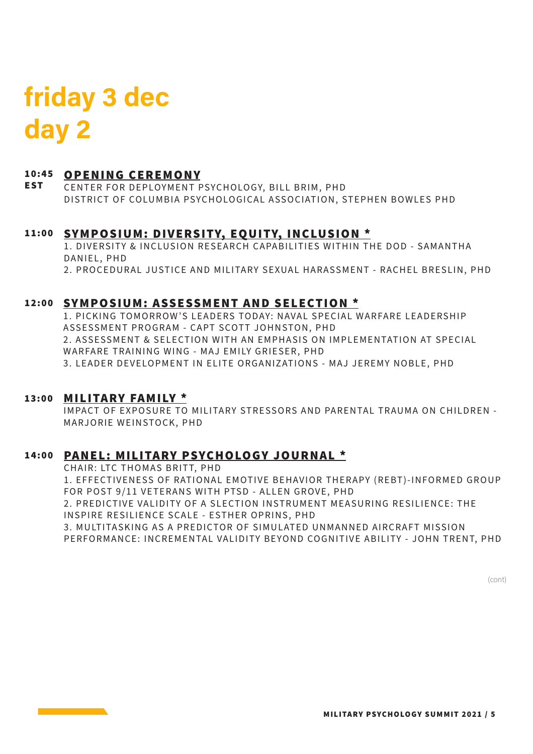## **friday 3 dec day 2**

#### 10:45 <u>OPENING CEREMONY</u>

**EST** CENTER FOR DEPLOYMENT PSYCHOLOGY, BILL BRIM, PHD DISTRICT OF COLUMBIA PSYCHOLOGICAL ASSOCIATION, STEPHEN BOWLES PHD

### 11:00 <u>SYMPOSIUM: DIVERSITY, EQUITY, INCLUSION \*</u>

1. DIVERSITY & INCLUSION RESEARCH CAPABILITIES WITHIN THE DOD - SAMANTHA DANIEL, PHD 2. PROCEDURAL JUSTICE AND MILITARY SEXUAL HARASSMENT - RACHEL BRESLIN, PHD

#### 12:00 SYMPOSIUM: ASSESSMENT AND SELECTION \*

1. PICKING TOMORROW'S LEADERS TODAY: NAVAL SPECIAL WARFARE LEADERSHIP ASSESSMENT PROGRAM - CAPT SCOTT JOHNSTON, PHD 2. ASSESSMENT & SELECTION WITH AN EMPHASIS ON IMPLEMENTATION AT SPECIAL WARFARE TRAINING WING - MAJ EMILY GRIESER, PHD 3. LEADER DEVELOPMENT IN ELITE ORGANIZATIONS - MAJ JEREMY NOBLE, PHD

#### 13:00 MILITARY FAMILY \*

IMPACT OF EXPOSURE TO MILITARY STRESSORS AND PARENTAL TRAUMA ON CHILDREN -MARJORIE WEINSTOCK, PHD

### PAN EL: MILITARY PSYCHOLOGY JOURNAL \* 14:00

CHAIR: LTC THOMAS BRITT, PHD

1. EFFECTIVENESS OF RATIONAL EMOTIVE BEHAVIOR THERAPY (REBT)-INFORMED GROUP FOR POST 9/11 VETERANS WITH PTSD - ALLEN GROVE, PHD 2. PREDICTIVE VALIDITY OF A SLECTION INSTRUMENT MEASURING RESILIENCE: THE INSPIRE RESILIENCE SCALE - ESTHER OPRINS, PHD 3. MULTITASKING AS A PREDICTOR OF SIMULATED UNMANNED AIRCRAFT MISSION

PERFORMANCE: INCREMENTAL VALIDITY BEYOND COGNITIVE ABILITY - JOHN TRENT, PHD

(cont)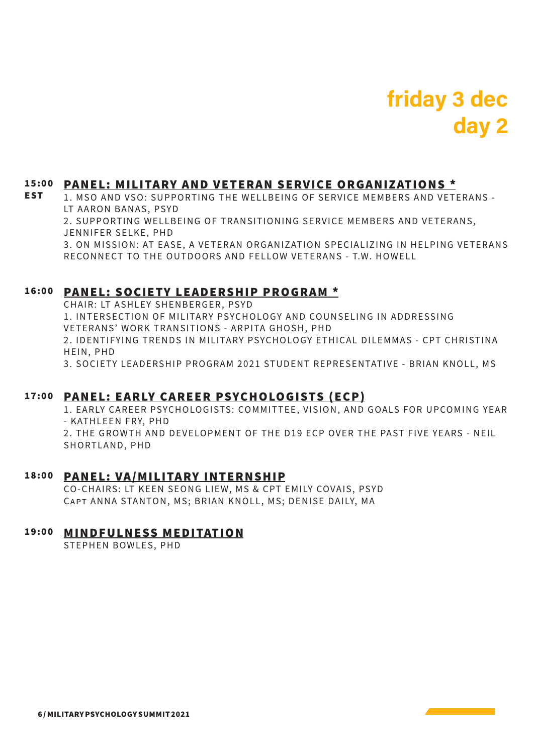### **friday 3 dec day 2**

#### PANEL: MILITARY AND VETERAN SERVICE ORGANIZATIONS \* 15:00

1. MSO AND VSO: SUPPORTING THE WELLBEING OF SERVICE MEMBERS AND VETERANS -LT AARON BANAS, PSYD EST

2. SUPPORTING WELLBEING OF TRANSITIONING SERVICE MEMBERS AND VETERANS, JENNIFER SELKE, PHD

3. ON MISSION: AT EASE, A VETERAN ORGANIZATION SPECIALIZING IN HELPING VETERANS RECONNECT TO THE OUTDOORS AND FELLOW VETERANS - T.W. HOWELL

#### PAN EL: SOCIETY LEAD ERSHIP PROGRAM \* 16:00

CHAIR: LT ASHLEY SHENBERGER, PSYD 1. INTERSECTION OF MILITARY PSYCHOLOGY AND COUNSELING IN ADDRESSING VETERANS' WORK TRANSITIONS - ARPITA GHOSH, PHD 2. I DENTIFYING TRENDS IN MILITARY PSYCHOLOGY ETHICAL DILEMMAS - CPT CHRISTINA HEIN, PHD 3. SOCIETY LEADERSHIP PROGRAM 2021 STUDENT REPRESENTATIVE - BRIAN KNOLL, MS

### PAN EL: EARLY CARE ER PSYCHOLOGISTS (ECP ) 17:00

1. EARLY CAREER PSYCHOLOGISTS: COMMITTEE, VISION, AND GOALS FOR UPCOMING YEAR - KATHLEEN FRY, PHD 2. THE GROWTH AND DEVELOPMENT OF THE D19 ECP OVER THE PAST FIVE YEARS - NEIL SHORTLAND, PHD

#### 18:00 <u>PANEL: VA/MILITARY INTERNSHIP</u>

CO-CHAIRS: LT KEEN SEONG LIEW, MS & CPT EMILY COVAIS, PSYD Capt ANNA STANTON, MS; BRIAN KNOLL, MS; DENISE DAILY, MA

#### **MINDFULNESS MEDITATION** 19:00

STEPHEN BOWLES, PHD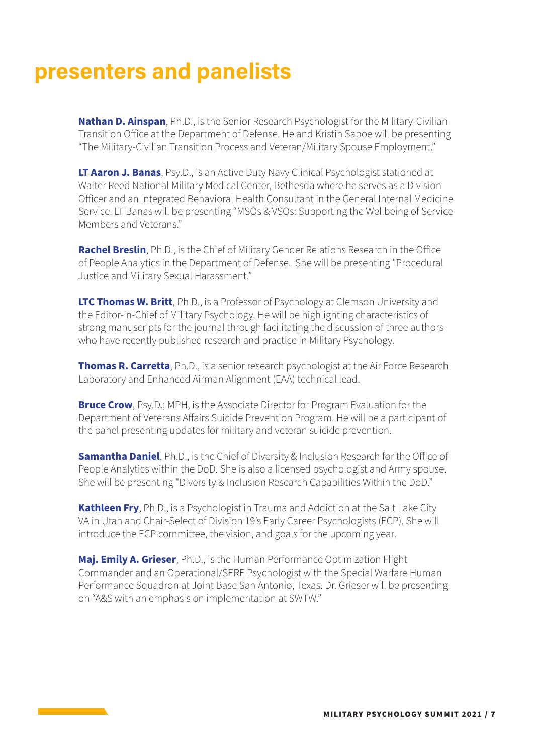### **presenters and panelists**

**Nathan D. Ainspan**, Ph.D., is the Senior Research Psychologist for the Military-Civilian Transition Office at the Department of Defense. He and Kristin Saboe will be presenting "The Military-Civilian Transition Process and Veteran/Military Spouse Employment."

**LT Aaron J. Banas**, Psy.D., is an Active Duty Navy Clinical Psychologist stationed at Walter Reed National Military Medical Center, Bethesda where he serves as a Division Officer and an Integrated Behavioral Health Consultant in the General Internal Medicine Service. LT Banas will be presenting "MSOs & VSOs: Supporting the Wellbeing of Service Members and Veterans."

**Rachel Breslin**, Ph.D., is the Chief of Military Gender Relations Research in the Office of People Analytics in the Department of Defense. She will be presenting "Procedural Justice and Military Sexual Harassment."

**LTC Thomas W. Britt**, Ph.D., is a Professor of Psychology at Clemson University and the Editor-in-Chief of Military Psychology. He will be highlighting characteristics of strong manuscripts for the journal through facilitating the discussion of three authors who have recently published research and practice in Military Psychology.

**Thomas R. Carretta**, Ph.D., is a senior research psychologist at the Air Force Research Laboratory and Enhanced Airman Alignment (EAA) technical lead.

**Bruce Crow**, Psy.D.; MPH, is the Associate Director for Program Evaluation for the Department of Veterans Affairs Suicide Prevention Program. He will be a participant of the panel presenting updates for military and veteran suicide prevention.

**Samantha Daniel**, Ph.D., is the Chief of Diversity & Inclusion Research for the Office of People Analytics within the DoD. She is also a licensed psychologist and Army spouse. She will be presenting "Diversity & Inclusion Research Capabilities Within the DoD."

**Kathleen Fry**, Ph.D., is a Psychologist in Trauma and Addiction at the Salt Lake City VA in Utah and Chair-Select of Division 19's Early Career Psychologists (ECP). She will introduce the ECP committee, the vision, and goals for the upcoming year.

**Maj. Emily A. Grieser**, Ph.D., is the Human Performance Optimization Flight Commander and an Operational/SERE Psychologist with the Special Warfare Human Performance Squadron at Joint Base San Antonio, Texas. Dr. Grieser will be presenting on "A&S with an emphasis on implementation at SWTW."

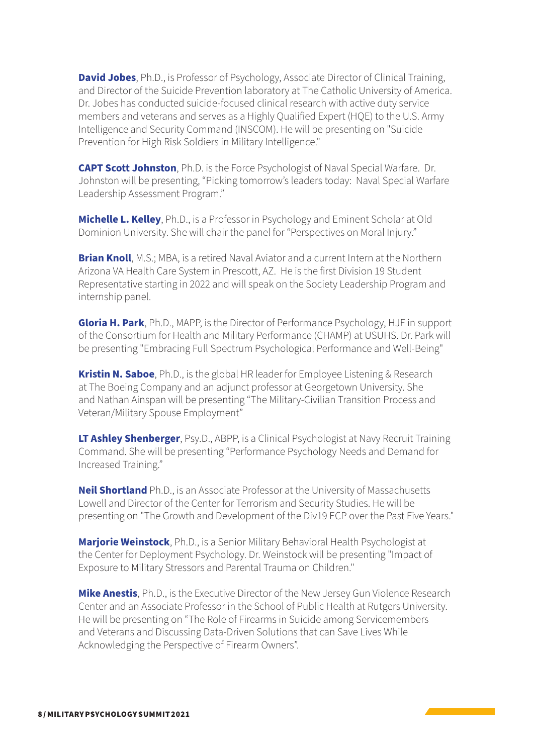**David Jobes**, Ph.D., is Professor of Psychology, Associate Director of Clinical Training, and Director of the Suicide Prevention laboratory at The Catholic University of America. Dr. Jobes has conducted suicide-focused clinical research with active duty service members and veterans and serves as a Highly Qualified Expert (HQE) to the U.S. Army Intelligence and Security Command (INSCOM). He will be presenting on "Suicide Prevention for High Risk Soldiers in Military Intelligence."

**CAPT Scott Johnston**, Ph.D. is the Force Psychologist of Naval Special Warfare. Dr. Johnston will be presenting, "Picking tomorrow's leaders today: Naval Special Warfare Leadership Assessment Program."

**Michelle L. Kelley**, Ph.D., is a Professor in Psychology and Eminent Scholar at Old Dominion University. She will chair the panel for "Perspectives on Moral Injury."

**Brian Knoll**, M.S.; MBA, is a retired Naval Aviator and a current Intern at the Northern Arizona VA Health Care System in Prescott, AZ. He is the first Division 19 Student Representative starting in 2022 and will speak on the Society Leadership Program and internship panel.

**Gloria H. Park**, Ph.D., MAPP, is the Director of Performance Psychology, HJF in support of the Consortium for Health and Military Performance (CHAMP) at USUHS. Dr. Park will be presenting "Embracing Full Spectrum Psychological Performance and Well-Being"

**Kristin N. Saboe**, Ph.D., is the global HR leader for Employee Listening & Research at The Boeing Company and an adjunct professor at Georgetown University. She and Nathan Ainspan will be presenting "The Military-Civilian Transition Process and Veteran/Military Spouse Employment"

**LT Ashley Shenberger**, Psy.D., ABPP, is a Clinical Psychologist at Navy Recruit Training Command. She will be presenting "Performance Psychology Needs and Demand for Increased Training."

**Neil Shortland** Ph.D., is an Associate Professor at the University of Massachusetts Lowell and Director of the Center for Terrorism and Security Studies. He will be presenting on "The Growth and Development of the Div19 ECP over the Past Five Years."

**Marjorie Weinstock**, Ph.D., is a Senior Military Behavioral Health Psychologist at the Center for Deployment Psychology. Dr. Weinstock will be presenting "Impact of Exposure to Military Stressors and Parental Trauma on Children."

**Mike Anestis**, Ph.D., is the Executive Director of the New Jersey Gun Violence Research Center and an Associate Professor in the School of Public Health at Rutgers University. He will be presenting on "The Role of Firearms in Suicide among Servicemembers and Veterans and Discussing Data-Driven Solutions that can Save Lives While Acknowledging the Perspective of Firearm Owners".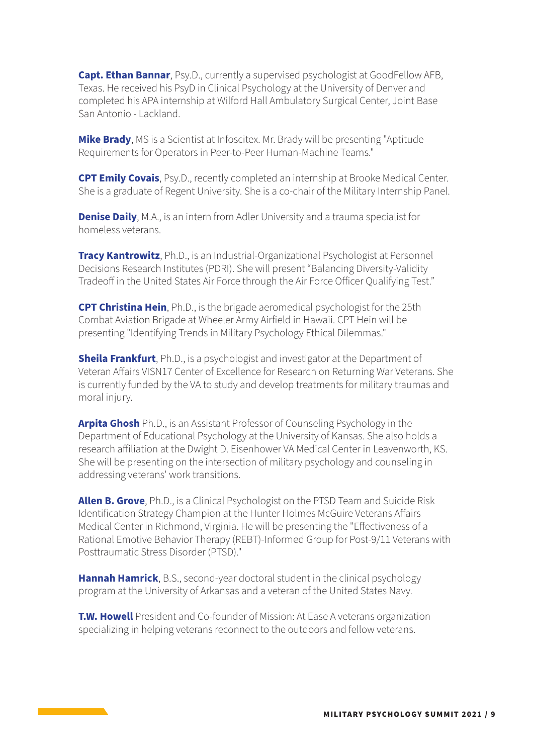**Capt. Ethan Bannar**, Psy.D., currently a supervised psychologist at GoodFellow AFB, Texas. He received his PsyD in Clinical Psychology at the University of Denver and completed his APA internship at Wilford Hall Ambulatory Surgical Center, Joint Base San Antonio - Lackland.

**Mike Brady**, MS is a Scientist at Infoscitex. Mr. Brady will be presenting "Aptitude Requirements for Operators in Peer-to-Peer Human-Machine Teams."

**CPT Emily Covais**, Psy.D., recently completed an internship at Brooke Medical Center. She is a graduate of Regent University. She is a co-chair of the Military Internship Panel.

**Denise Daily**, M.A., is an intern from Adler University and a trauma specialist for homeless veterans.

**Tracy Kantrowitz**, Ph.D., is an Industrial-Organizational Psychologist at Personnel Decisions Research Institutes (PDRI). She will present "Balancing Diversity-Validity Tradeoff in the United States Air Force through the Air Force Officer Qualifying Test."

**CPT Christina Hein**, Ph.D., is the brigade aeromedical psychologist for the 25th Combat Aviation Brigade at Wheeler Army Airfield in Hawaii. CPT Hein will be presenting "Identifying Trends in Military Psychology Ethical Dilemmas."

**Sheila Frankfurt**, Ph.D., is a psychologist and investigator at the Department of Veteran Affairs VISN17 Center of Excellence for Research on Returning War Veterans. She is currently funded by the VA to study and develop treatments for military traumas and moral injury.

**Arpita Ghosh** Ph.D., is an Assistant Professor of Counseling Psychology in the Department of Educational Psychology at the University of Kansas. She also holds a research affiliation at the Dwight D. Eisenhower VA Medical Center in Leavenworth, KS. She will be presenting on the intersection of military psychology and counseling in addressing veterans' work transitions.

**Allen B. Grove**, Ph.D., is a Clinical Psychologist on the PTSD Team and Suicide Risk Identification Strategy Champion at the Hunter Holmes McGuire Veterans Affairs Medical Center in Richmond, Virginia. He will be presenting the "Effectiveness of a Rational Emotive Behavior Therapy (REBT)-Informed Group for Post-9/11 Veterans with Posttraumatic Stress Disorder (PTSD)."

**Hannah Hamrick**, B.S., second-year doctoral student in the clinical psychology program at the University of Arkansas and a veteran of the United States Navy.

**T.W. Howell** President and Co-founder of Mission: At Ease A veterans organization specializing in helping veterans reconnect to the outdoors and fellow veterans.

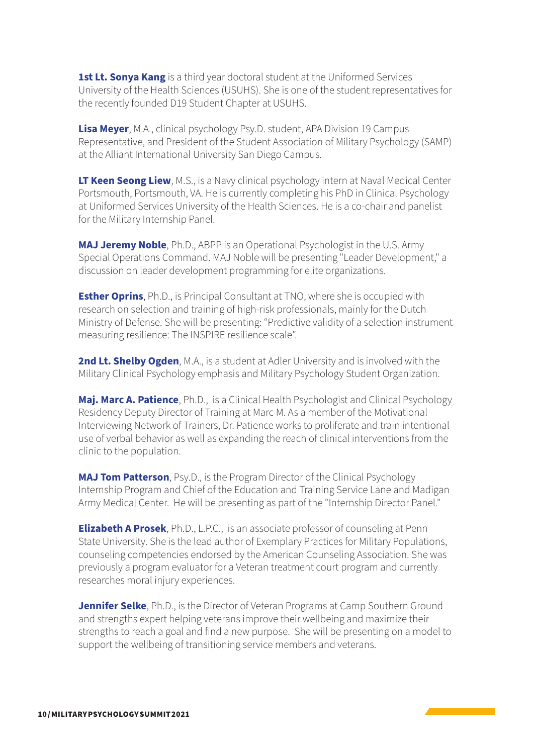**1st Lt. Sonya Kang** is a third year doctoral student at the Uniformed Services University of the Health Sciences (USUHS). She is one of the student representatives for the recently founded D19 Student Chapter at USUHS.

**Lisa Meyer**, M.A., clinical psychology Psy.D. student, APA Division 19 Campus Representative, and President of the Student Association of Military Psychology (SAMP) at the Alliant International University San Diego Campus.

**LT Keen Seong Liew**, M.S., is a Navy clinical psychology intern at Naval Medical Center Portsmouth, Portsmouth, VA. He is currently completing his PhD in Clinical Psychology at Uniformed Services University of the Health Sciences. He is a co-chair and panelist for the Military Internship Panel.

**MAJ Jeremy Noble**, Ph.D., ABPP is an Operational Psychologist in the U.S. Army Special Operations Command. MAJ Noble will be presenting "Leader Development," a discussion on leader development programming for elite organizations.

**Esther Oprins**, Ph.D., is Principal Consultant at TNO, where she is occupied with research on selection and training of high-risk professionals, mainly for the Dutch Ministry of Defense. She will be presenting: "Predictive validity of a selection instrument measuring resilience: The INSPIRE resilience scale".

**2nd Lt. Shelby Ogden**, M.A., is a student at Adler University and is involved with the Military Clinical Psychology emphasis and Military Psychology Student Organization.

**Maj. Marc A. Patience**, Ph.D., is a Clinical Health Psychologist and Clinical Psychology Residency Deputy Director of Training at Marc M. As a member of the Motivational Interviewing Network of Trainers, Dr. Patience works to proliferate and train intentional use of verbal behavior as well as expanding the reach of clinical interventions from the clinic to the population.

**MAJ Tom Patterson**, Psy.D., is the Program Director of the Clinical Psychology Internship Program and Chief of the Education and Training Service Lane and Madigan Army Medical Center. He will be presenting as part of the "Internship Director Panel."

**Elizabeth A Prosek**, Ph.D., L.P.C., is an associate professor of counseling at Penn State University. She is the lead author of Exemplary Practices for Military Populations, counseling competencies endorsed by the American Counseling Association. She was previously a program evaluator for a Veteran treatment court program and currently researches moral injury experiences.

**Jennifer Selke**, Ph.D., is the Director of Veteran Programs at Camp Southern Ground and strengths expert helping veterans improve their wellbeing and maximize their strengths to reach a goal and find a new purpose. She will be presenting on a model to support the wellbeing of transitioning service members and veterans.